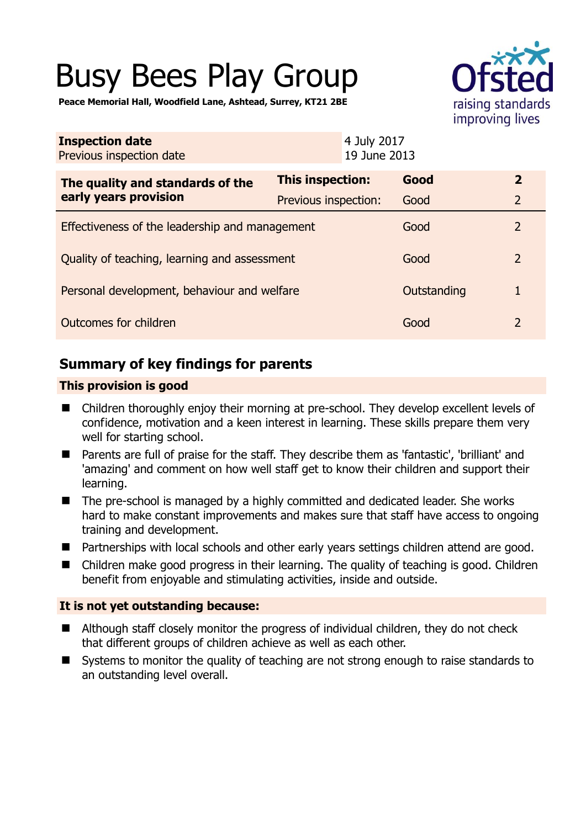# Busy Bees Play Group



**Peace Memorial Hall, Woodfield Lane, Ashtead, Surrey, KT21 2BE** 

| <b>Inspection date</b><br>Previous inspection date        | 4 July 2017<br>19 June 2013 |             |                |
|-----------------------------------------------------------|-----------------------------|-------------|----------------|
| The quality and standards of the<br>early years provision | This inspection:            | Good        | $\overline{2}$ |
|                                                           | Previous inspection:        | Good        | $\overline{2}$ |
| Effectiveness of the leadership and management            |                             | Good        | $\overline{2}$ |
| Quality of teaching, learning and assessment              |                             | Good        | $\overline{2}$ |
| Personal development, behaviour and welfare               |                             | Outstanding |                |
| Outcomes for children                                     |                             | Good        | $\overline{2}$ |

# **Summary of key findings for parents**

#### **This provision is good**

- Children thoroughly enjoy their morning at pre-school. They develop excellent levels of confidence, motivation and a keen interest in learning. These skills prepare them very well for starting school.
- Parents are full of praise for the staff. They describe them as 'fantastic', 'brilliant' and 'amazing' and comment on how well staff get to know their children and support their learning.
- The pre-school is managed by a highly committed and dedicated leader. She works hard to make constant improvements and makes sure that staff have access to ongoing training and development.
- Partnerships with local schools and other early years settings children attend are good.
- Children make good progress in their learning. The quality of teaching is good. Children benefit from enjoyable and stimulating activities, inside and outside.

#### **It is not yet outstanding because:**

- Although staff closely monitor the progress of individual children, they do not check that different groups of children achieve as well as each other.
- Systems to monitor the quality of teaching are not strong enough to raise standards to an outstanding level overall.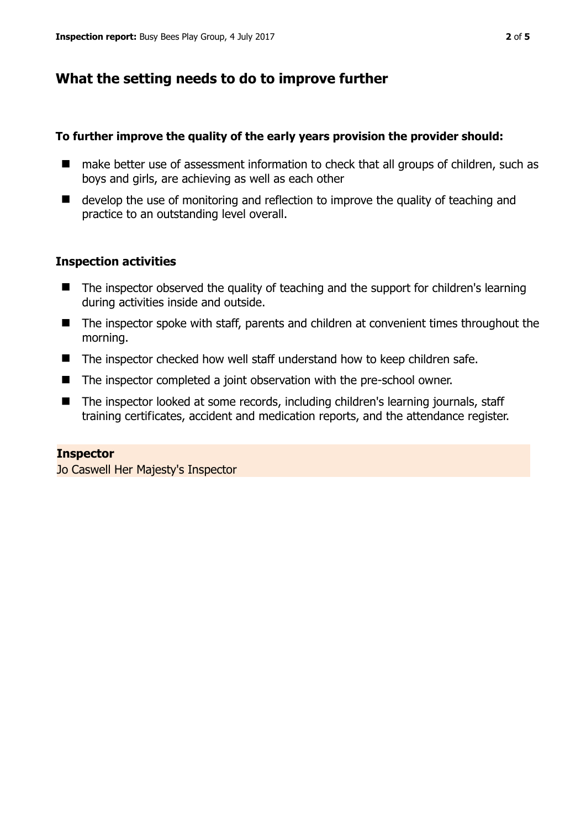# **What the setting needs to do to improve further**

#### **To further improve the quality of the early years provision the provider should:**

- make better use of assessment information to check that all groups of children, such as boys and girls, are achieving as well as each other
- develop the use of monitoring and reflection to improve the quality of teaching and practice to an outstanding level overall.

#### **Inspection activities**

- The inspector observed the quality of teaching and the support for children's learning during activities inside and outside.
- The inspector spoke with staff, parents and children at convenient times throughout the morning.
- The inspector checked how well staff understand how to keep children safe.
- The inspector completed a joint observation with the pre-school owner.
- The inspector looked at some records, including children's learning journals, staff training certificates, accident and medication reports, and the attendance register.

#### **Inspector**

Jo Caswell Her Majesty's Inspector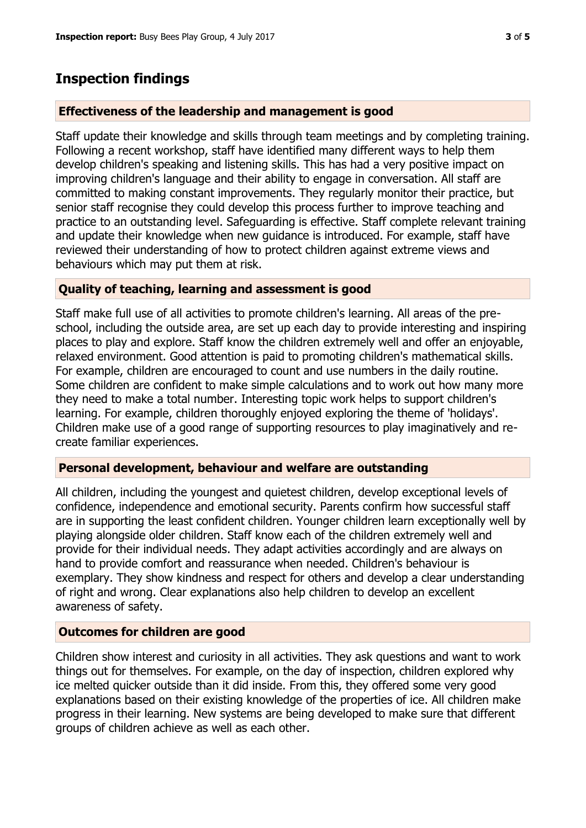# **Inspection findings**

#### **Effectiveness of the leadership and management is good**

Staff update their knowledge and skills through team meetings and by completing training. Following a recent workshop, staff have identified many different ways to help them develop children's speaking and listening skills. This has had a very positive impact on improving children's language and their ability to engage in conversation. All staff are committed to making constant improvements. They regularly monitor their practice, but senior staff recognise they could develop this process further to improve teaching and practice to an outstanding level. Safeguarding is effective. Staff complete relevant training and update their knowledge when new guidance is introduced. For example, staff have reviewed their understanding of how to protect children against extreme views and behaviours which may put them at risk.

#### **Quality of teaching, learning and assessment is good**

Staff make full use of all activities to promote children's learning. All areas of the preschool, including the outside area, are set up each day to provide interesting and inspiring places to play and explore. Staff know the children extremely well and offer an enjoyable, relaxed environment. Good attention is paid to promoting children's mathematical skills. For example, children are encouraged to count and use numbers in the daily routine. Some children are confident to make simple calculations and to work out how many more they need to make a total number. Interesting topic work helps to support children's learning. For example, children thoroughly enjoyed exploring the theme of 'holidays'. Children make use of a good range of supporting resources to play imaginatively and recreate familiar experiences.

## **Personal development, behaviour and welfare are outstanding**

All children, including the youngest and quietest children, develop exceptional levels of confidence, independence and emotional security. Parents confirm how successful staff are in supporting the least confident children. Younger children learn exceptionally well by playing alongside older children. Staff know each of the children extremely well and provide for their individual needs. They adapt activities accordingly and are always on hand to provide comfort and reassurance when needed. Children's behaviour is exemplary. They show kindness and respect for others and develop a clear understanding of right and wrong. Clear explanations also help children to develop an excellent awareness of safety.

## **Outcomes for children are good**

Children show interest and curiosity in all activities. They ask questions and want to work things out for themselves. For example, on the day of inspection, children explored why ice melted quicker outside than it did inside. From this, they offered some very good explanations based on their existing knowledge of the properties of ice. All children make progress in their learning. New systems are being developed to make sure that different groups of children achieve as well as each other.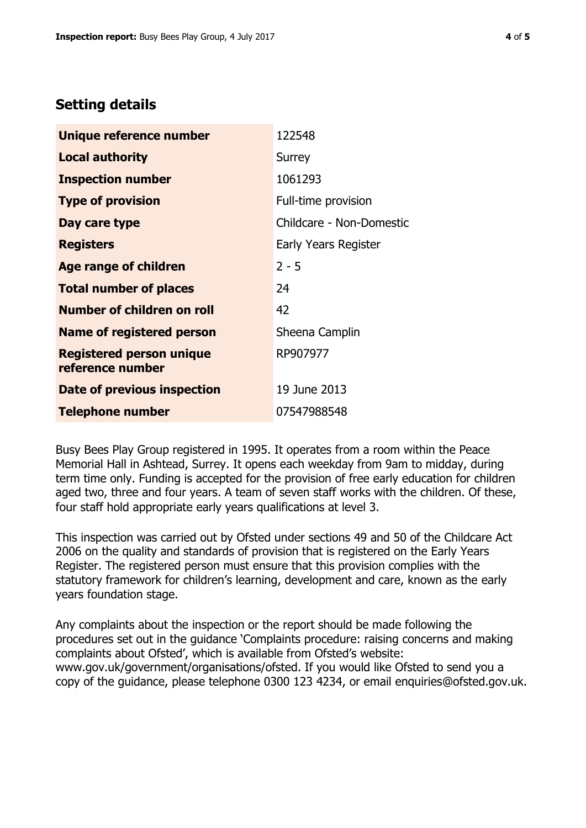## **Setting details**

| Unique reference number                             | 122548                   |  |
|-----------------------------------------------------|--------------------------|--|
| <b>Local authority</b>                              | Surrey                   |  |
| <b>Inspection number</b>                            | 1061293                  |  |
| <b>Type of provision</b>                            | Full-time provision      |  |
| Day care type                                       | Childcare - Non-Domestic |  |
| <b>Registers</b>                                    | Early Years Register     |  |
| <b>Age range of children</b>                        | $2 - 5$                  |  |
| <b>Total number of places</b>                       | 24                       |  |
| <b>Number of children on roll</b>                   | 42                       |  |
| Name of registered person                           | Sheena Camplin           |  |
| <b>Registered person unique</b><br>reference number | RP907977                 |  |
| Date of previous inspection                         | 19 June 2013             |  |
| <b>Telephone number</b>                             | 07547988548              |  |

Busy Bees Play Group registered in 1995. It operates from a room within the Peace Memorial Hall in Ashtead, Surrey. It opens each weekday from 9am to midday, during term time only. Funding is accepted for the provision of free early education for children aged two, three and four years. A team of seven staff works with the children. Of these, four staff hold appropriate early years qualifications at level 3.

This inspection was carried out by Ofsted under sections 49 and 50 of the Childcare Act 2006 on the quality and standards of provision that is registered on the Early Years Register. The registered person must ensure that this provision complies with the statutory framework for children's learning, development and care, known as the early years foundation stage.

Any complaints about the inspection or the report should be made following the procedures set out in the guidance 'Complaints procedure: raising concerns and making complaints about Ofsted', which is available from Ofsted's website: www.gov.uk/government/organisations/ofsted. If you would like Ofsted to send you a copy of the guidance, please telephone 0300 123 4234, or email enquiries@ofsted.gov.uk.